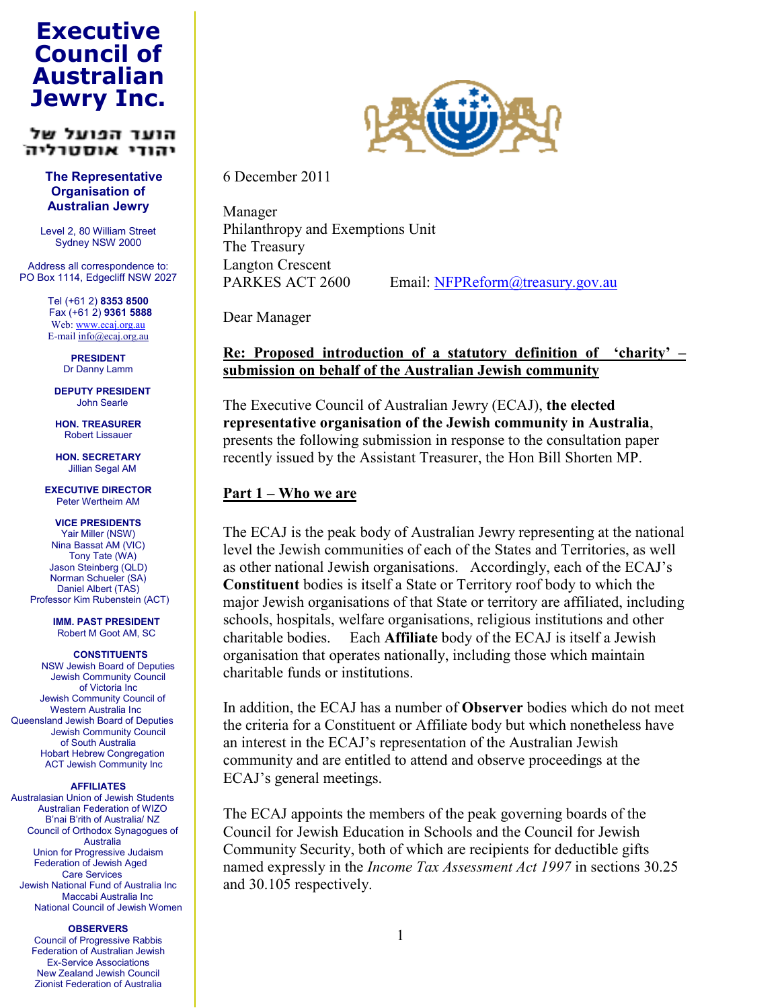# **Jewry Inc. Council of Executive Australian**

#### הוער הפועל של יהודי אוסטרליה

 **Organisation of Australian Jewry The Representative**

 Level 2, 80 William Street Sydney NSW 2000

 Address all correspondence to: PO Box 1114, Edgecliff NSW 2027

> Tel (+61 2) **8353 8500** Fax (+61 2) **9361 5888** Web: www.ecaj.org.au E-mail info@ecaj.org.au

> > Dr Danny Lamm **PRESIDENT**

 John Searle **DEPUTY PRESIDENT**

**HON. TREASURER** Robert Lissauer

 Jillian Segal AM **HON. SECRETARY**

 Peter Wertheim AM **EXECUTIVE DIRECTOR**

 Yair Miller (NSW) Nina Bassat AM (VIC) Tony Tate (WA) Jason Steinberg (QLD) Norman Schueler (SA) Daniel Albert (TAS) Professor Kim Rubenstein (ACT) **VICE PRESIDENTS**

> **IMM. PAST PRESIDENT** Robert M Goot AM, SC

 NSW Jewish Board of Deputies Jewish Community Council of Victoria Inc Jewish Community Council of Western Australia Inc Queensland Jewish Board of Deputies Jewish Community Council of South Australia Hobart Hebrew Congregation ACT Jewish Community Inc **CONSTITUENTS**

#### **AFFILIATES**

 Australasian Union of Jewish Students Australian Federation of WIZO B'nai B'rith of Australia/ NZ Council of Orthodox Synagogues of Union for Progressive Judaism Federation of Jewish Aged Care Services Jewish National Fund of Australia Inc Maccabi Australia Inc National Council of Jewish Women Australia

#### **OBSERVERS**

 Council of Progressive Rabbis Federation of Australian Jewish New Zealand Jewish Council Zionist Federation of Australia **Ex-Service Associations** 



6 December 2011

 Manager Philanthropy and Exemptions Unit The Treasury Langton Crescent PARKES ACT 2600

Email: NFPReform@treasury.gov.au

Dear Manager

#### **Re: Proposed introduction of a statutory definition of 'charity' – submission on behalf of the Australian Jewish community**

  The Executive Council of Australian Jewry (ECAJ), **the elected representative organisation of the Jewish community in Australia**, presents the following submission in response to the consultation paper recently issued by the Assistant Treasurer, the Hon Bill Shorten MP.

#### **Part 1 – Who we are**

 The ECAJ is the peak body of Australian Jewry representing at the national level the Jewish communities of each of the States and Territories, as well as other national Jewish organisations. Accordingly, each of the ECAJ's **Constituent** bodies is itself a State or Territory roof body to which the major Jewish organisations of that State or territory are affiliated, including schools, hospitals, welfare organisations, religious institutions and other charitable bodies. Each **Affiliate** body of the ECAJ is itself a Jewish organisation that operates nationally, including those which maintain charitable funds or institutions.

 In addition, the ECAJ has a number of **Observer** bodies which do not meet the criteria for a Constituent or Affiliate body but which nonetheless have an interest in the ECAJ's representation of the Australian Jewish community and are entitled to attend and observe proceedings at the ECAJ's general meetings.

 The ECAJ appoints the members of the peak governing boards of the Council for Jewish Education in Schools and the Council for Jewish Community Security, both of which are recipients for deductible gifts  named expressly in the *Income Tax Assessment Act 1997* in sections 30.25 and 30.105 respectively.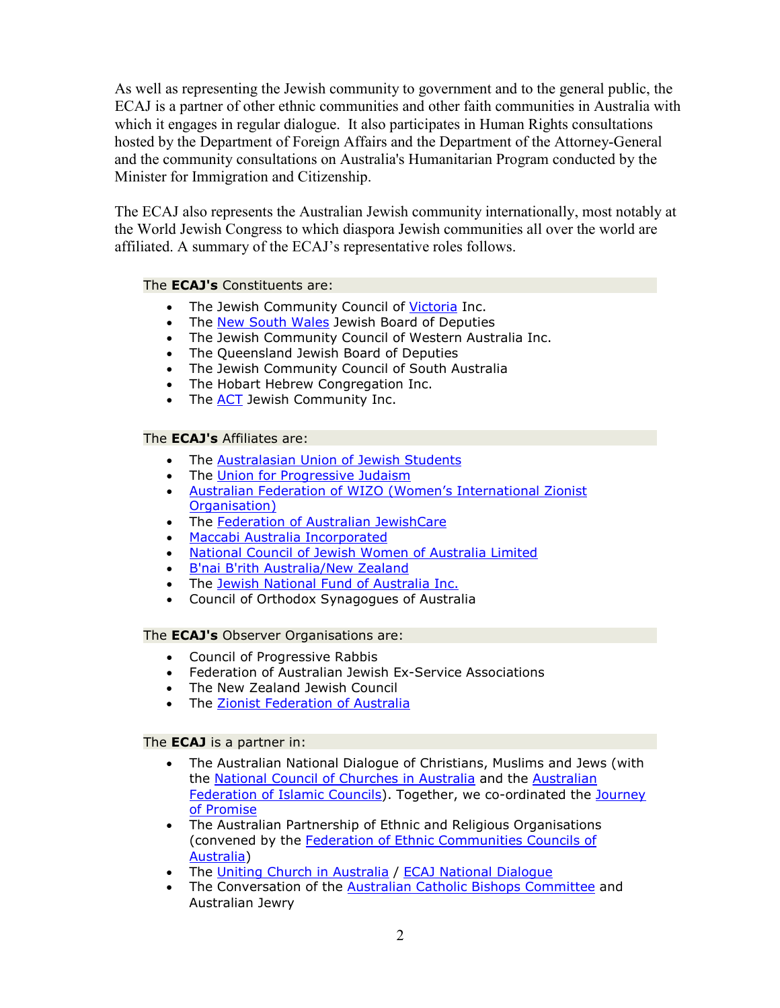As well as representing the Jewish community to government and to the general public, the ECAJ is a partner of other ethnic communities and other faith communities in Australia with which it engages in regular dialogue. It also participates in Human Rights consultations hosted by the Department of Foreign Affairs and the Department of the Attorney-General and the community consultations on Australia's Humanitarian Program conducted by the Minister for Immigration and Citizenship.

 The ECAJ also represents the Australian Jewish community internationally, most notably at the World Jewish Congress to which diaspora Jewish communities all over the world are affiliated. A summary of the ECAJ's representative roles follows.

#### The **ECAJ's** Constituents are:

- The Jewish Community Council of Victoria Inc.
- The New South Wales Jewish Board of Deputies
- • The Jewish Community Council of Western Australia Inc.
- • The Queensland Jewish Board of Deputies
- The Jewish Community Council of South Australia
- • The Hobart Hebrew Congregation Inc.
- The **ACT** Jewish Community Inc.

#### The **ECAJ's** Affiliates are:

- The Australasian Union of Jewish Students
- The Union for Progressive Judaism
- Australian Federation of WIZO (Women's International Zionist Organisation)
- The Federation of Australian JewishCare
- Maccabi Australia Incorporated
- National Council of Jewish Women of Australia Limited
- B'nai B'rith Australia/New Zealand
- The Jewish National Fund of Australia Inc.
- Council of Orthodox Synagogues of Australia

#### The **ECAJ's** Observer Organisations are:

- Council of Progressive Rabbis
- Federation of Australian Jewish Ex-Service Associations
- The New Zealand Jewish Council
- The Zionist Federation of Australia

#### The **ECAJ** is a partner in:

- The Australian National Dialogue of Christians, Muslims and Jews (with the <u>National Council of Churches in Australia</u> and the <u>Australian</u> <u>Federation of Islamic Councils</u>). Together, we co-ordinated the <u>Journey</u> <u>of Promise</u>
- The Australian Partnership of Ethnic and Religious Organisations (convened by the Federation of Ethnic Communities Councils of Australia)
- The Uniting Church in Australia / ECAJ National Dialogue
- The Conversation of the **Australian Catholic Bishops Committee** and Australian Jewry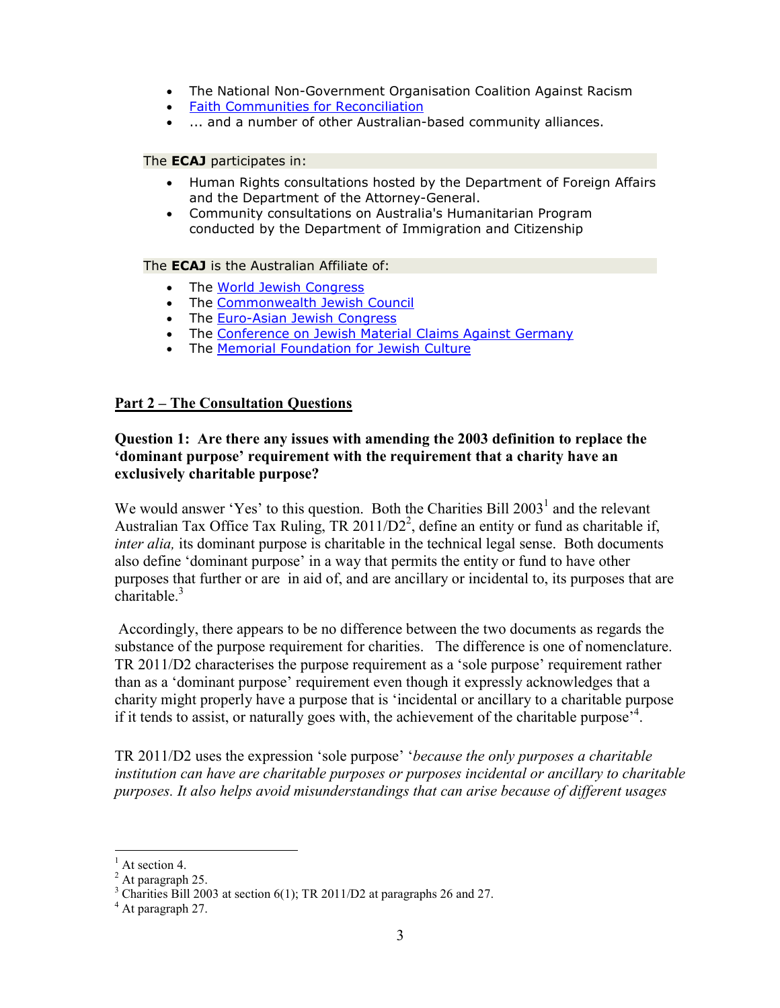- The National Non-Government Organisation Coalition Against Racism
- **Faith Communities for Reconciliation**
- ... and a number of other Australian-based community alliances.

The **ECAJ** participates in:

- Human Rights consultations hosted by the Department of Foreign Affairs and the Department of the Attorney-General.
- • Community consultations on Australia's Humanitarian Program conducted by the Department of Immigration and Citizenship

The **ECAJ** is the Australian Affiliate of:

- The World Jewish Congress
- The Commonwealth Jewish Council
- The Euro-Asian Jewish Congress
- The Conference on Jewish Material Claims Against Germany
- The **Memorial Foundation for Jewish Culture**

#### **Part 2 – The Consultation Questions**

#### **Question 1: Are there any issues with amending the 2003 definition to replace the 'dominant purpose' requirement with the requirement that a charity have an exclusively charitable purpose?**

We would answer 'Yes' to this question. Both the Charities Bill  $2003<sup>1</sup>$  and the relevant Australian Tax Office Tax Ruling, TR 2011/D2<sup>2</sup>, define an entity or fund as charitable if, *inter alia,* its dominant purpose is charitable in the technical legal sense. Both documents also define 'dominant purpose' in a way that permits the entity or fund to have other purposes that further or are in aid of, and are ancillary or incidental to, its purposes that are charitable. $3$ 

 Accordingly, there appears to be no difference between the two documents as regards the substance of the purpose requirement for charities. The difference is one of nomenclature. TR 2011/D2 characterises the purpose requirement as a 'sole purpose' requirement rather than as a 'dominant purpose' requirement even though it expressly acknowledges that a charity might properly have a purpose that is 'incidental or ancillary to a charitable purpose if it tends to assist, or naturally goes with, the achievement of the charitable purpose<sup>,4</sup>.

  TR 2011/D2 uses the expression 'sole purpose' '*because the only purposes a charitable institution can have are charitable purposes or purposes incidental or ancillary to charitable purposes. It also helps avoid misunderstandings that can arise because of different usages*

  $<sup>1</sup>$  At section 4.</sup>

<sup>&</sup>lt;sup>1</sup> At section 4.<br><sup>2</sup> At paragraph 25.

<sup>&</sup>lt;sup>2</sup> At paragraph 25.<br><sup>3</sup> Charities Bill 2003 at section 6(1); TR 2011/D2 at paragraphs 26 and 27. <sup>3</sup> Charities Bill 2003 at section 6(1); TR 2011/D2 at paragraphs 26 and 27.<br><sup>4</sup> At paragraph 27.

 $4$  At paragraph 27.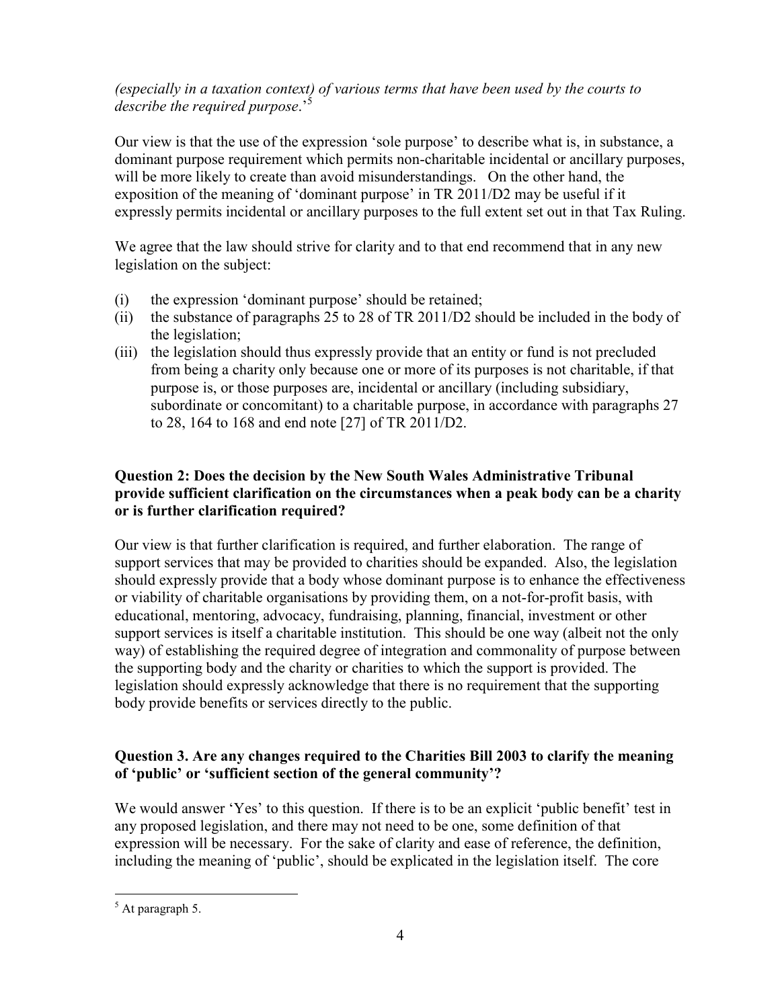# (especially in a taxation context) of various terms that have been used by the courts to  *describe the required purpose*.'<sup>5</sup>

 Our view is that the use of the expression 'sole purpose' to describe what is, in substance, a dominant purpose requirement which permits non-charitable incidental or ancillary purposes, will be more likely to create than avoid misunderstandings. On the other hand, the exposition of the meaning of 'dominant purpose' in TR 2011/D2 may be useful if it expressly permits incidental or ancillary purposes to the full extent set out in that Tax Ruling.

 We agree that the law should strive for clarity and to that end recommend that in any new legislation on the subject:

- (i) the expression 'dominant purpose' should be retained;
- (ii) the substance of paragraphs 25 to 28 of TR 2011/D2 should be included in the body of the legislation;
- (iii) the legislation should thus expressly provide that an entity or fund is not precluded from being a charity only because one or more of its purposes is not charitable, if that purpose is, or those purposes are, incidental or ancillary (including subsidiary, subordinate or concomitant) to a charitable purpose, in accordance with paragraphs 27 to 28, 164 to 168 and end note [27] of TR 2011/D2.

# **Question 2: Does the decision by the New South Wales Administrative Tribunal** provide sufficient clarification on the circumstances when a peak body can be a charity  **or is further clarification required?**

 Our view is that further clarification is required, and further elaboration. The range of support services that may be provided to charities should be expanded. Also, the legislation should expressly provide that a body whose dominant purpose is to enhance the effectiveness or viability of charitable organisations by providing them, on a not-for-profit basis, with educational, mentoring, advocacy, fundraising, planning, financial, investment or other support services is itself a charitable institution. This should be one way (albeit not the only way) of establishing the required degree of integration and commonality of purpose between the supporting body and the charity or charities to which the support is provided. The legislation should expressly acknowledge that there is no requirement that the supporting body provide benefits or services directly to the public.

# Question 3. Are any changes required to the Charities Bill 2003 to clarify the meaning  **of 'public' or 'sufficient section of the general community'?**

We would answer 'Yes' to this question. If there is to be an explicit 'public benefit' test in any proposed legislation, and there may not need to be one, some definition of that expression will be necessary. For the sake of clarity and ease of reference, the definition, including the meaning of 'public', should be explicated in the legislation itself. The core

  $<sup>5</sup>$  At paragraph 5.</sup>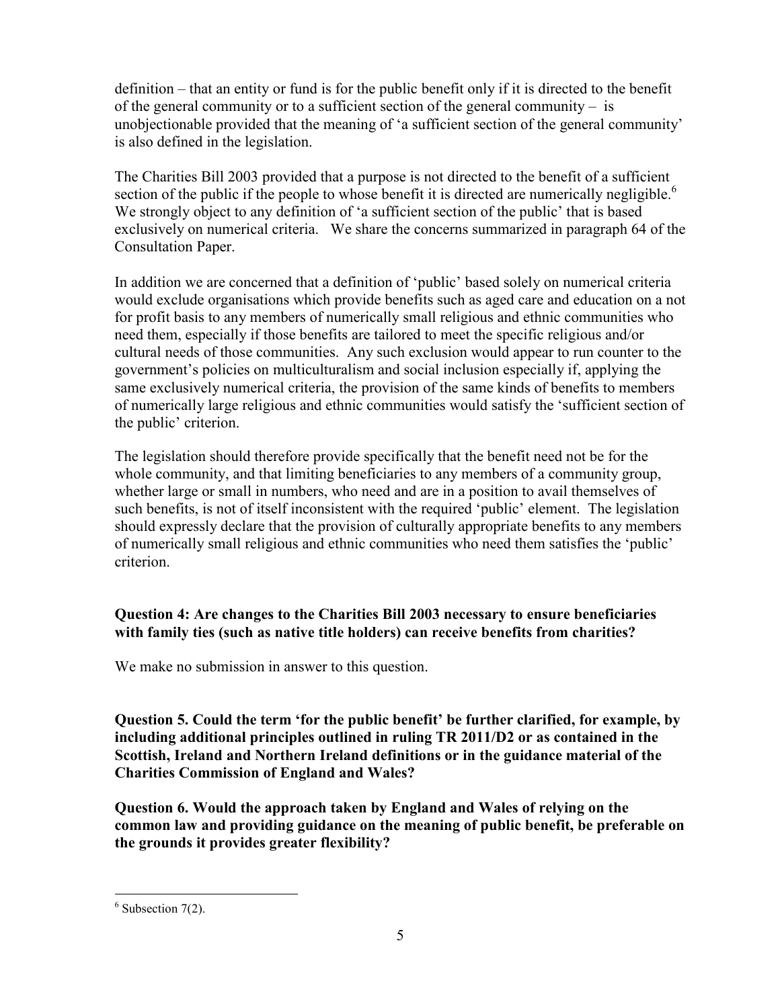definition – that an entity or fund is for the public benefit only if it is directed to the benefit of the general community or to a sufficient section of the general community – is unobjectionable provided that the meaning of 'a sufficient section of the general community' is also defined in the legislation.

 The Charities Bill 2003 provided that a purpose is not directed to the benefit of a sufficient section of the public if the people to whose benefit it is directed are numerically negligible.<sup>6</sup> We strongly object to any definition of 'a sufficient section of the public' that is based exclusively on numerical criteria. We share the concerns summarized in paragraph 64 of the Consultation Paper.

 In addition we are concerned that a definition of 'public' based solely on numerical criteria would exclude organisations which provide benefits such as aged care and education on a not for profit basis to any members of numerically small religious and ethnic communities who need them, especially if those benefits are tailored to meet the specific religious and/or cultural needs of those communities. Any such exclusion would appear to run counter to the government's policies on multiculturalism and social inclusion especially if, applying the same exclusively numerical criteria, the provision of the same kinds of benefits to members of numerically large religious and ethnic communities would satisfy the 'sufficient section of the public' criterion.

 The legislation should therefore provide specifically that the benefit need not be for the whole community, and that limiting beneficiaries to any members of a community group, whether large or small in numbers, who need and are in a position to avail themselves of such benefits, is not of itself inconsistent with the required 'public' element. The legislation should expressly declare that the provision of culturally appropriate benefits to any members of numerically small religious and ethnic communities who need them satisfies the 'public' criterion.

# **Question 4: Are changes to the Charities Bill 2003 necessary to ensure beneficiaries with family ties (such as native title holders) can receive benefits from charities?**

We make no submission in answer to this question.

Question 5. Could the term 'for the public benefit' be further clarified, for example, by  **including additional principles outlined in ruling TR 2011/D2 or as contained in the Scottish, Ireland and Northern Ireland definitions or in the guidance material of the Charities Commission of England and Wales?**

 **Question 6. Would the approach taken by England and Wales of relying on the common law and providing guidance on the meaning of public benefit, be preferable on the grounds it provides greater flexibility?**

  $6$  Subsection 7(2).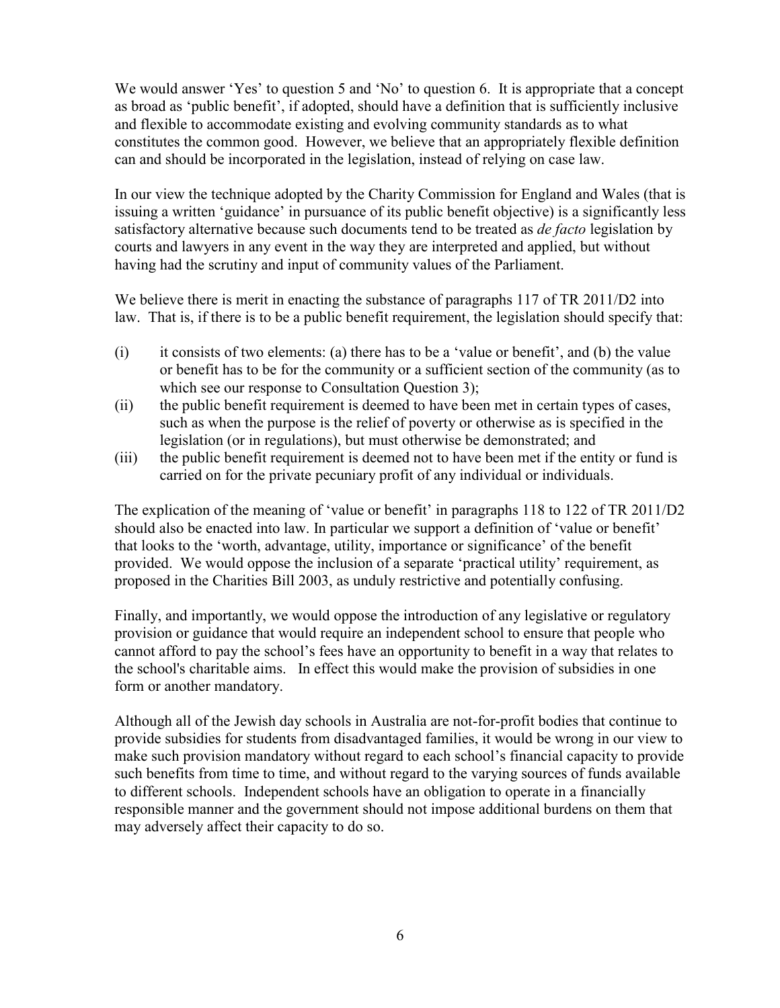We would answer 'Yes' to question 5 and 'No' to question 6. It is appropriate that a concept as broad as 'public benefit', if adopted, should have a definition that is sufficiently inclusive and flexible to accommodate existing and evolving community standards as to what constitutes the common good. However, we believe that an appropriately flexible definition can and should be incorporated in the legislation, instead of relying on case law.

 In our view the technique adopted by the Charity Commission for England and Wales (that is issuing a written 'guidance' in pursuance of its public benefit objective) is a significantly less  satisfactory alternative because such documents tend to be treated as *de facto* legislation by courts and lawyers in any event in the way they are interpreted and applied, but without having had the scrutiny and input of community values of the Parliament.

We believe there is merit in enacting the substance of paragraphs 117 of TR 2011/D2 into law. That is, if there is to be a public benefit requirement, the legislation should specify that:

- $(i)$  it consists of two elements: (a) there has to be a 'value or benefit', and (b) the value or benefit has to be for the community or a sufficient section of the community (as to which see our response to Consultation Question 3);
- (ii) the public benefit requirement is deemed to have been met in certain types of cases, such as when the purpose is the relief of poverty or otherwise as is specified in the legislation (or in regulations), but must otherwise be demonstrated; and
- (iii) the public benefit requirement is deemed not to have been met if the entity or fund is carried on for the private pecuniary profit of any individual or individuals.

 The explication of the meaning of 'value or benefit' in paragraphs 118 to 122 of TR 2011/D2 should also be enacted into law. In particular we support a definition of 'value or benefit' that looks to the 'worth, advantage, utility, importance or significance' of the benefit provided. We would oppose the inclusion of a separate 'practical utility' requirement, as proposed in the Charities Bill 2003, as unduly restrictive and potentially confusing.

 Finally, and importantly, we would oppose the introduction of any legislative or regulatory provision or guidance that would require an independent school to ensure that people who cannot afford to pay the school's fees have an opportunity to benefit in a way that relates to the school's charitable aims. In effect this would make the provision of subsidies in one form or another mandatory.

Although all of the Jewish day schools in Australia are not-for-profit bodies that continue to provide subsidies for students from disadvantaged families, it would be wrong in our view to make such provision mandatory without regard to each school's financial capacity to provide such benefits from time to time, and without regard to the varying sources of funds available to different schools. Independent schools have an obligation to operate in a financially responsible manner and the government should not impose additional burdens on them that may adversely affect their capacity to do so.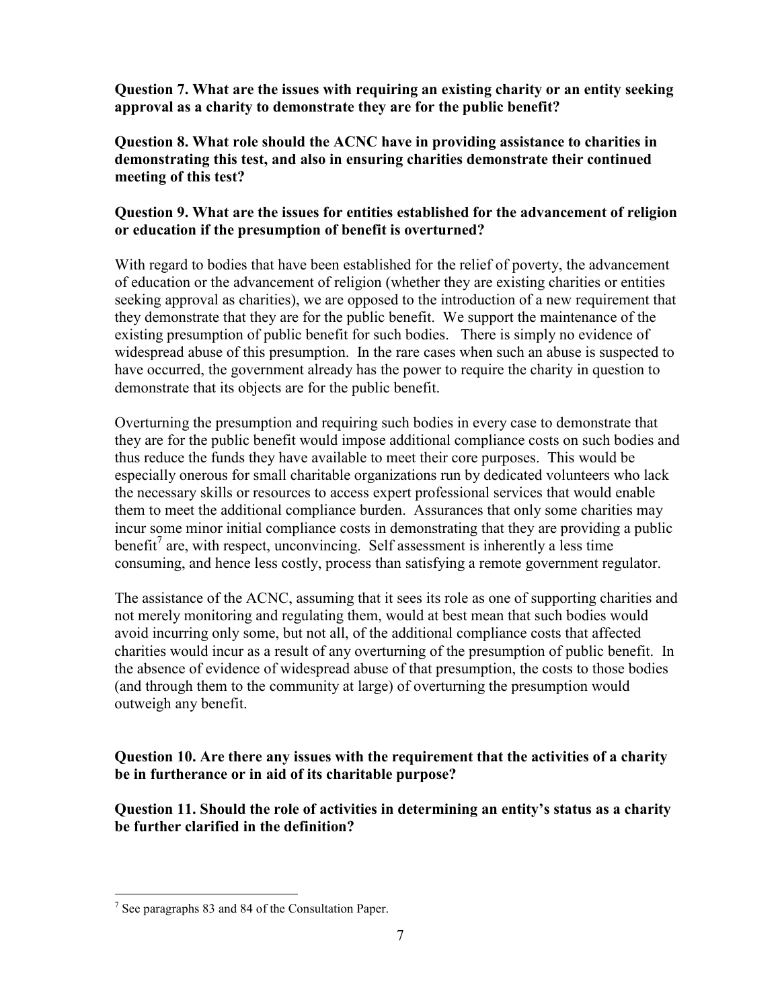Question 7. What are the issues with requiring an existing charity or an entity seeking  **approval as a charity to demonstrate they are for the public benefit?**

 **Question 8. What role should the ACNC have in providing assistance to charities in demonstrating this test, and also in ensuring charities demonstrate their continued meeting of this test?**

### Question 9. What are the issues for entities established for the advancement of religion  **or education if the presumption of benefit is overturned?**

 With regard to bodies that have been established for the relief of poverty, the advancement of education or the advancement of religion (whether they are existing charities or entities seeking approval as charities), we are opposed to the introduction of a new requirement that they demonstrate that they are for the public benefit. We support the maintenance of the existing presumption of public benefit for such bodies. There is simply no evidence of widespread abuse of this presumption. In the rare cases when such an abuse is suspected to have occurred, the government already has the power to require the charity in question to demonstrate that its objects are for the public benefit.

 Overturning the presumption and requiring such bodies in every case to demonstrate that they are for the public benefit would impose additional compliance costs on such bodies and thus reduce the funds they have available to meet their core purposes. This would be especially onerous for small charitable organizations run by dedicated volunteers who lack the necessary skills or resources to access expert professional services that would enable them to meet the additional compliance burden. Assurances that only some charities may incur some minor initial compliance costs in demonstrating that they are providing a public benefit<sup>7</sup> are, with respect, unconvincing. Self assessment is inherently a less time consuming, and hence less costly, process than satisfying a remote government regulator.

 The assistance of the ACNC, assuming that it sees its role as one of supporting charities and not merely monitoring and regulating them, would at best mean that such bodies would avoid incurring only some, but not all, of the additional compliance costs that affected charities would incur as a result of any overturning of the presumption of public benefit. In the absence of evidence of widespread abuse of that presumption, the costs to those bodies (and through them to the community at large) of overturning the presumption would outweigh any benefit.

Question 10. Are there any issues with the requirement that the activities of a charity  **be in furtherance or in aid of its charitable purpose?**

Question 11. Should the role of activities in determining an entity's status as a charity  **be further clarified in the definition?**

  $7$  See paragraphs 83 and 84 of the Consultation Paper.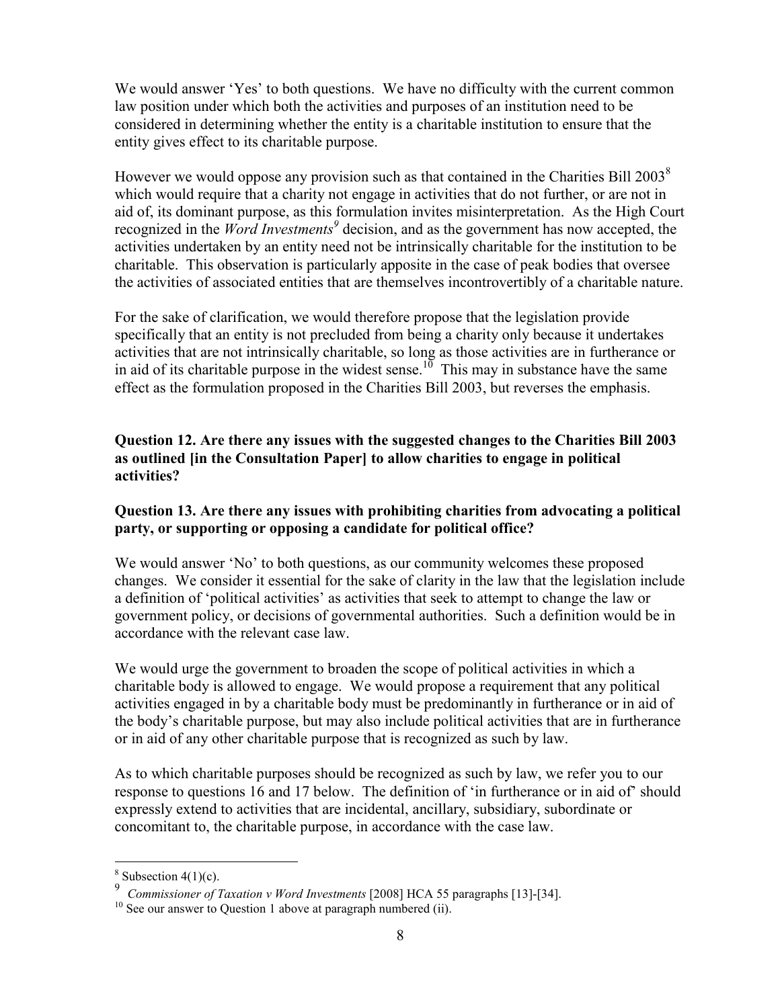We would answer 'Yes' to both questions. We have no difficulty with the current common law position under which both the activities and purposes of an institution need to be considered in determining whether the entity is a charitable institution to ensure that the entity gives effect to its charitable purpose.

However we would oppose any provision such as that contained in the Charities Bill  $2003<sup>8</sup>$  which would require that a charity not engage in activities that do not further, or are not in aid of, its dominant purpose, as this formulation invites misinterpretation. As the High Court recognized in the *Word Investments<sup>9</sup>* decision, and as the government has now accepted, the activities undertaken by an entity need not be intrinsically charitable for the institution to be charitable. This observation is particularly apposite in the case of peak bodies that oversee the activities of associated entities that are themselves incontrovertibly of a charitable nature.

 For the sake of clarification, we would therefore propose that the legislation provide specifically that an entity is not precluded from being a charity only because it undertakes activities that are not intrinsically charitable, so long as those activities are in furtherance or in aid of its charitable purpose in the widest sense.<sup>10</sup> This may in substance have the same effect as the formulation proposed in the Charities Bill 2003, but reverses the emphasis.

Question 12. Are there any issues with the suggested changes to the Charities Bill 2003  **as outlined [in the Consultation Paper] to allow charities to engage in political activities?**

## **Question 13. Are there any issues with prohibiting charities from advocating a political party, or supporting or opposing a candidate for political office?**

 We would answer 'No' to both questions, as our community welcomes these proposed changes. We consider it essential for the sake of clarity in the law that the legislation include a definition of 'political activities' as activities that seek to attempt to change the law or government policy, or decisions of governmental authorities. Such a definition would be in accordance with the relevant case law.

 We would urge the government to broaden the scope of political activities in which a charitable body is allowed to engage. We would propose a requirement that any political activities engaged in by a charitable body must be predominantly in furtherance or in aid of the body's charitable purpose, but may also include political activities that are in furtherance or in aid of any other charitable purpose that is recognized as such by law.

 As to which charitable purposes should be recognized as such by law, we refer you to our response to questions 16 and 17 below. The definition of 'in furtherance or in aid of' should expressly extend to activities that are incidental, ancillary, subsidiary, subordinate or concomitant to, the charitable purpose, in accordance with the case law.

 $8$  Subsection 4(1)(c).

<sup>&</sup>lt;sup>9</sup> *Commissioner of Taxation v Word Investments* [2008] HCA 55 paragraphs [13]-[34].

 $10$  See our answer to Question 1 above at paragraph numbered (ii).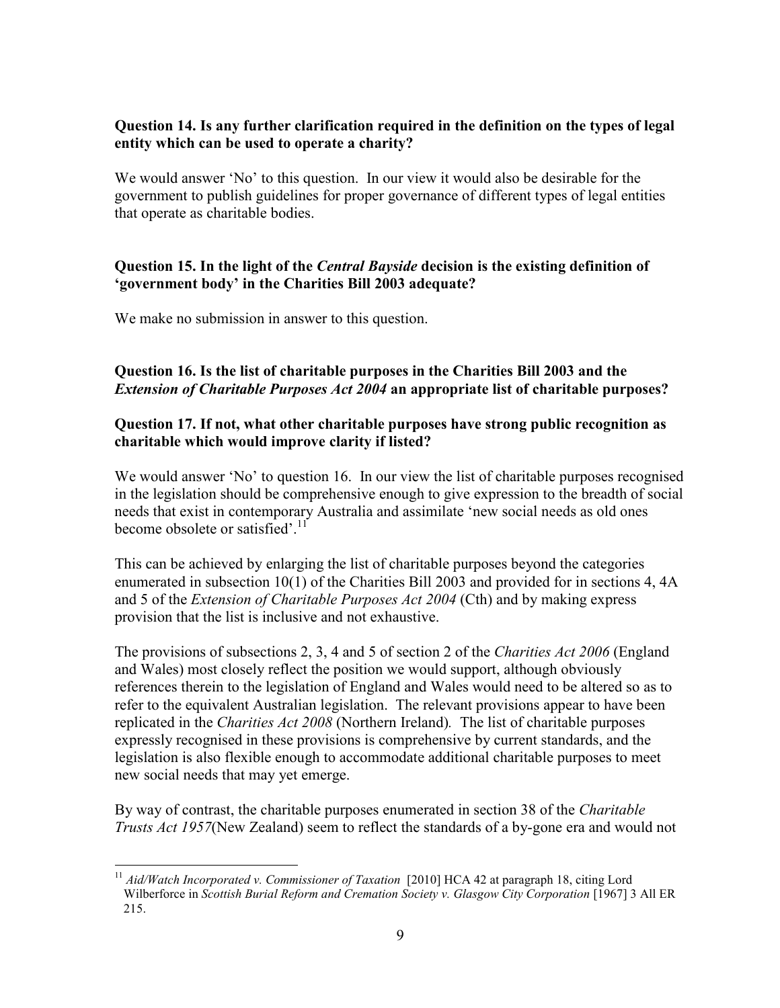### Question 14. Is any further clarification required in the definition on the types of legal  **entity which can be used to operate a charity?**

 We would answer 'No' to this question. In our view it would also be desirable for the government to publish guidelines for proper governance of different types of legal entities that operate as charitable bodies.

# Question 15. In the light of the Central Bayside decision is the existing definition of  **'government body' in the Charities Bill 2003 adequate?**

We make no submission in answer to this question.

# **Question 16. Is the list of charitable purposes in the Charities Bill 2003 and the**   *Extension of Charitable Purposes Act 2004* **an appropriate list of charitable purposes?**

# **Question 17. If not, what other charitable purposes have strong public recognition as charitable which would improve clarity if listed?**

We would answer 'No' to question 16. In our view the list of charitable purposes recognised in the legislation should be comprehensive enough to give expression to the breadth of social needs that exist in contemporary Australia and assimilate 'new social needs as old ones become obsolete or satisfied'.<sup>11</sup>

 This can be achieved by enlarging the list of charitable purposes beyond the categories enumerated in subsection 10(1) of the Charities Bill 2003 and provided for in sections 4, 4A  and 5 of the *Extension of Charitable Purposes Act 2004* (Cth) and by making express provision that the list is inclusive and not exhaustive.

  The provisions of subsections 2, 3, 4 and 5 of section 2 of the *Charities Act 2006* (England and Wales) most closely reflect the position we would support, although obviously references therein to the legislation of England and Wales would need to be altered so as to refer to the equivalent Australian legislation. The relevant provisions appear to have been  replicated in the *Charities Act 2008* (Northern Ireland)*.* The list of charitable purposes expressly recognised in these provisions is comprehensive by current standards, and the legislation is also flexible enough to accommodate additional charitable purposes to meet new social needs that may yet emerge.

 By way of contrast, the charitable purposes enumerated in section 38 of the *Charitable Trusts Act 1957*(New Zealand) seem to reflect the standards of a by-gone era and would not

  <sup>11</sup> *Aid/Watch Incorporated v. Commissioner of Taxation* [2010] HCA 42 at paragraph 18, citing Lord  Wilberforce in *Scottish Burial Reform and Cremation Society v. Glasgow City Corporation* [1967] 3 All ER 215.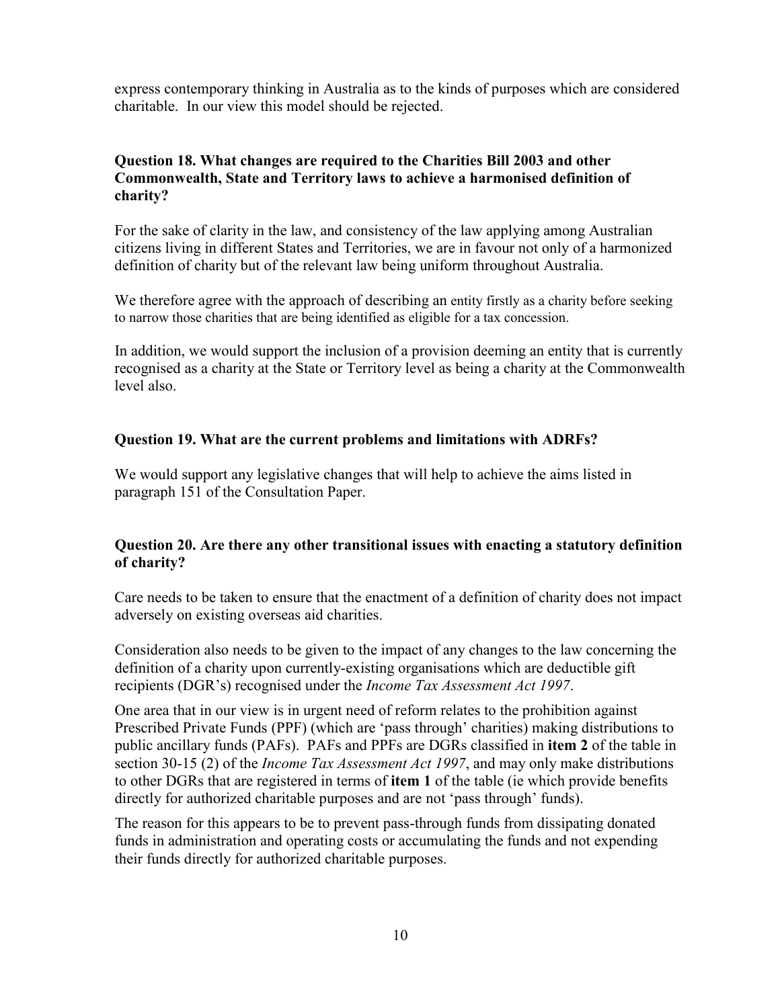express contemporary thinking in Australia as to the kinds of purposes which are considered charitable. In our view this model should be rejected.

#### **Question 18. What changes are required to the Charities Bill 2003 and other Commonwealth, State and Territory laws to achieve a harmonised definition of charity?**

 For the sake of clarity in the law, and consistency of the law applying among Australian citizens living in different States and Territories, we are in favour not only of a harmonized definition of charity but of the relevant law being uniform throughout Australia.

 We therefore agree with the approach of describing an entity firstly as a charity before seeking to narrow those charities that are being identified as eligible for a tax concession.

 In addition, we would support the inclusion of a provision deeming an entity that is currently recognised as a charity at the State or Territory level as being a charity at the Commonwealth level also.

#### **Question 19. What are the current problems and limitations with ADRFs?**

 We would support any legislative changes that will help to achieve the aims listed in paragraph 151 of the Consultation Paper.

## **Question 20. Are there any other transitional issues with enacting a statutory definition of charity?**

 Care needs to be taken to ensure that the enactment of a definition of charity does not impact adversely on existing overseas aid charities.

 Consideration also needs to be given to the impact of any changes to the law concerning the definition of a charity upon currently-existing organisations which are deductible gift  recipients (DGR's) recognised under the *Income Tax Assessment Act 1997*.

 One area that in our view is in urgent need of reform relates to the prohibition against Prescribed Private Funds (PPF) (which are 'pass through' charities) making distributions to public ancillary funds (PAFs). PAFs and PPFs are DGRs classified in **item 2** of the table in  section 3015 (2) of the *Income Tax Assessment Act 1997*, and may only make distributions to other DGRs that are registered in terms of **item 1** of the table (ie which provide benefits directly for authorized charitable purposes and are not 'pass through' funds).

The reason for this appears to be to prevent pass-through funds from dissipating donated funds in administration and operating costs or accumulating the funds and not expending their funds directly for authorized charitable purposes.